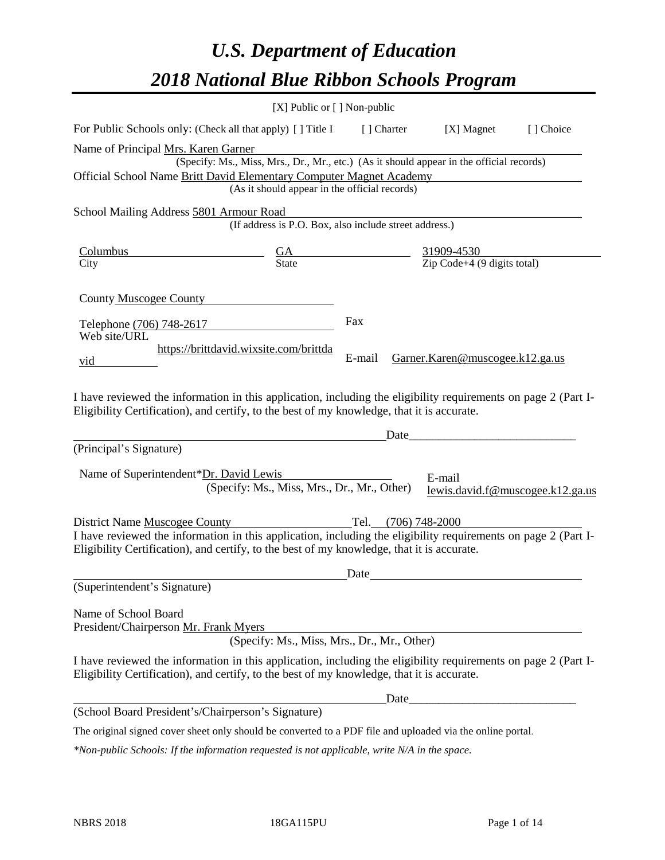# *U.S. Department of Education 2018 National Blue Ribbon Schools Program*

|                                                                                                                                                                                                              | [X] Public or [] Non-public                                                              |             |                                                   |                                  |
|--------------------------------------------------------------------------------------------------------------------------------------------------------------------------------------------------------------|------------------------------------------------------------------------------------------|-------------|---------------------------------------------------|----------------------------------|
| For Public Schools only: (Check all that apply) [] Title I                                                                                                                                                   |                                                                                          | [ ] Charter | [X] Magnet                                        | [] Choice                        |
| Name of Principal Mrs. Karen Garner                                                                                                                                                                          |                                                                                          |             |                                                   |                                  |
|                                                                                                                                                                                                              | (Specify: Ms., Miss, Mrs., Dr., Mr., etc.) (As it should appear in the official records) |             |                                                   |                                  |
| Official School Name Britt David Elementary Computer Magnet Academy                                                                                                                                          |                                                                                          |             |                                                   |                                  |
|                                                                                                                                                                                                              | (As it should appear in the official records)                                            |             |                                                   |                                  |
| School Mailing Address 5801 Armour Road                                                                                                                                                                      |                                                                                          |             |                                                   |                                  |
|                                                                                                                                                                                                              | (If address is P.O. Box, also include street address.)                                   |             |                                                   |                                  |
| <u>Columbus</u>                                                                                                                                                                                              | $\frac{GA}{State}$ $\frac{31909-4530}{Zip Code+4 (9 digits total)}$                      |             |                                                   |                                  |
| City                                                                                                                                                                                                         |                                                                                          |             |                                                   |                                  |
|                                                                                                                                                                                                              |                                                                                          |             |                                                   |                                  |
| <b>County Muscogee County</b>                                                                                                                                                                                |                                                                                          |             |                                                   |                                  |
| Telephone (706) 748-2617                                                                                                                                                                                     |                                                                                          | Fax         |                                                   |                                  |
| Web site/URL                                                                                                                                                                                                 |                                                                                          |             |                                                   |                                  |
| vid                                                                                                                                                                                                          | https://brittdavid.wixsite.com/brittda                                                   | E-mail      | Garner.Karen@muscogee.k12.ga.us                   |                                  |
|                                                                                                                                                                                                              |                                                                                          |             |                                                   |                                  |
|                                                                                                                                                                                                              |                                                                                          |             |                                                   |                                  |
| I have reviewed the information in this application, including the eligibility requirements on page 2 (Part I-<br>Eligibility Certification), and certify, to the best of my knowledge, that it is accurate. |                                                                                          |             |                                                   |                                  |
|                                                                                                                                                                                                              |                                                                                          |             |                                                   |                                  |
|                                                                                                                                                                                                              |                                                                                          | Date        | <u> 1989 - Johann Barbara, martxa alemaniar a</u> |                                  |
| (Principal's Signature)                                                                                                                                                                                      |                                                                                          |             |                                                   |                                  |
| Name of Superintendent*Dr. David Lewis                                                                                                                                                                       |                                                                                          |             | E-mail                                            |                                  |
|                                                                                                                                                                                                              | (Specify: Ms., Miss, Mrs., Dr., Mr., Other)                                              |             |                                                   | lewis.david.f@muscogee.k12.ga.us |
|                                                                                                                                                                                                              |                                                                                          |             |                                                   |                                  |
| District Name Muscogee County                                                                                                                                                                                | Tel. (706) 748-2000                                                                      |             |                                                   |                                  |
| I have reviewed the information in this application, including the eligibility requirements on page 2 (Part I-                                                                                               |                                                                                          |             |                                                   |                                  |
| Eligibility Certification), and certify, to the best of my knowledge, that it is accurate.                                                                                                                   |                                                                                          |             |                                                   |                                  |
|                                                                                                                                                                                                              |                                                                                          | Date        |                                                   |                                  |
| (Superintendent's Signature)                                                                                                                                                                                 |                                                                                          |             |                                                   |                                  |
| Name of School Board                                                                                                                                                                                         |                                                                                          |             |                                                   |                                  |
| President/Chairperson Mr. Frank Myers                                                                                                                                                                        |                                                                                          |             |                                                   |                                  |
|                                                                                                                                                                                                              | (Specify: Ms., Miss, Mrs., Dr., Mr., Other)                                              |             |                                                   |                                  |
| I have reviewed the information in this application, including the eligibility requirements on page 2 (Part I-                                                                                               |                                                                                          |             |                                                   |                                  |
| Eligibility Certification), and certify, to the best of my knowledge, that it is accurate.                                                                                                                   |                                                                                          |             |                                                   |                                  |
|                                                                                                                                                                                                              |                                                                                          | Date        |                                                   |                                  |
| (School Board President's/Chairperson's Signature)                                                                                                                                                           |                                                                                          |             |                                                   |                                  |
| The original signed cover sheet only should be converted to a PDF file and uploaded via the online portal.                                                                                                   |                                                                                          |             |                                                   |                                  |

*\*Non-public Schools: If the information requested is not applicable, write N/A in the space.*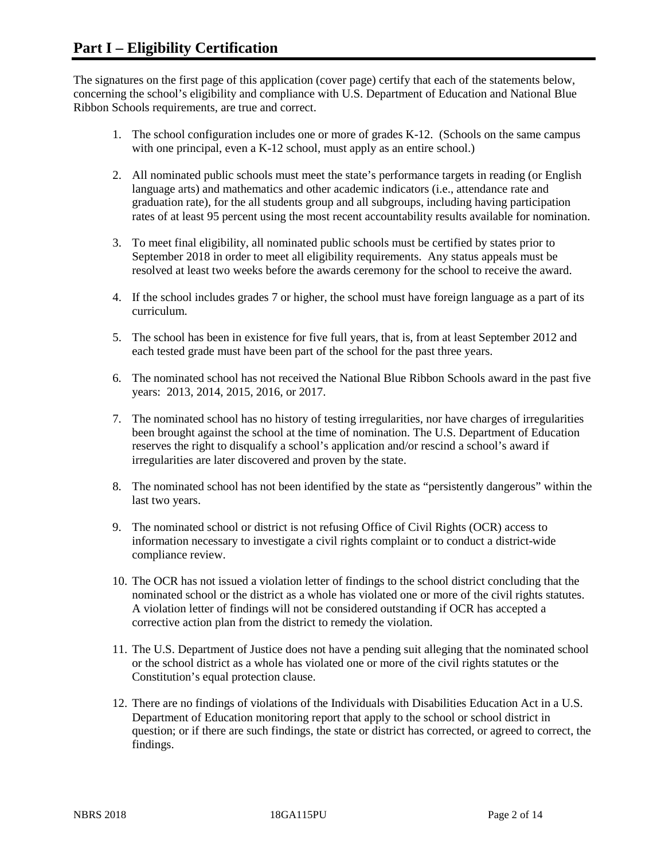The signatures on the first page of this application (cover page) certify that each of the statements below, concerning the school's eligibility and compliance with U.S. Department of Education and National Blue Ribbon Schools requirements, are true and correct.

- 1. The school configuration includes one or more of grades K-12. (Schools on the same campus with one principal, even a K-12 school, must apply as an entire school.)
- 2. All nominated public schools must meet the state's performance targets in reading (or English language arts) and mathematics and other academic indicators (i.e., attendance rate and graduation rate), for the all students group and all subgroups, including having participation rates of at least 95 percent using the most recent accountability results available for nomination.
- 3. To meet final eligibility, all nominated public schools must be certified by states prior to September 2018 in order to meet all eligibility requirements. Any status appeals must be resolved at least two weeks before the awards ceremony for the school to receive the award.
- 4. If the school includes grades 7 or higher, the school must have foreign language as a part of its curriculum.
- 5. The school has been in existence for five full years, that is, from at least September 2012 and each tested grade must have been part of the school for the past three years.
- 6. The nominated school has not received the National Blue Ribbon Schools award in the past five years: 2013, 2014, 2015, 2016, or 2017.
- 7. The nominated school has no history of testing irregularities, nor have charges of irregularities been brought against the school at the time of nomination. The U.S. Department of Education reserves the right to disqualify a school's application and/or rescind a school's award if irregularities are later discovered and proven by the state.
- 8. The nominated school has not been identified by the state as "persistently dangerous" within the last two years.
- 9. The nominated school or district is not refusing Office of Civil Rights (OCR) access to information necessary to investigate a civil rights complaint or to conduct a district-wide compliance review.
- 10. The OCR has not issued a violation letter of findings to the school district concluding that the nominated school or the district as a whole has violated one or more of the civil rights statutes. A violation letter of findings will not be considered outstanding if OCR has accepted a corrective action plan from the district to remedy the violation.
- 11. The U.S. Department of Justice does not have a pending suit alleging that the nominated school or the school district as a whole has violated one or more of the civil rights statutes or the Constitution's equal protection clause.
- 12. There are no findings of violations of the Individuals with Disabilities Education Act in a U.S. Department of Education monitoring report that apply to the school or school district in question; or if there are such findings, the state or district has corrected, or agreed to correct, the findings.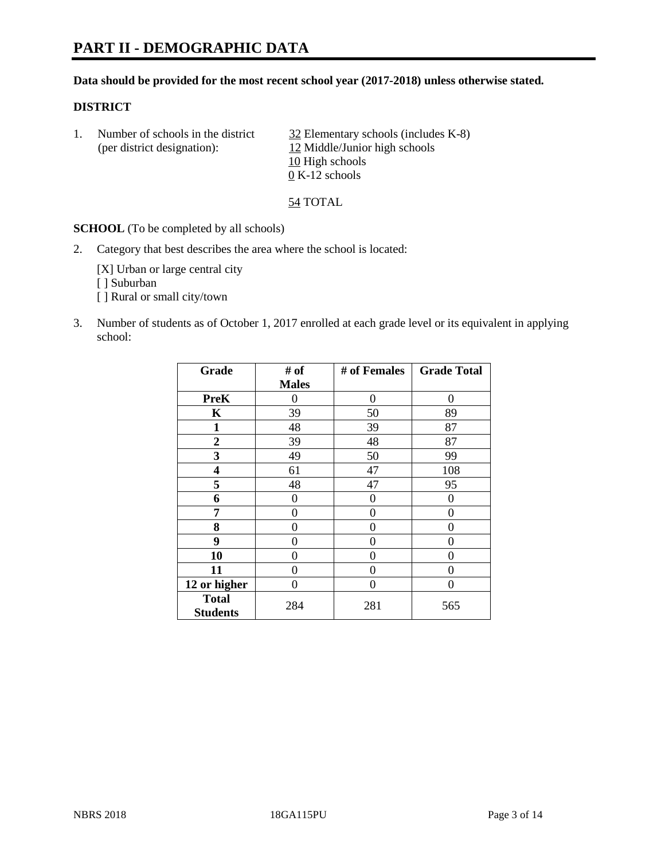# **PART II - DEMOGRAPHIC DATA**

#### **Data should be provided for the most recent school year (2017-2018) unless otherwise stated.**

#### **DISTRICT**

1. Number of schools in the district  $\frac{32}{2}$  Elementary schools (includes K-8) (per district designation): 12 Middle/Junior high schools 10 High schools 0 K-12 schools

54 TOTAL

**SCHOOL** (To be completed by all schools)

2. Category that best describes the area where the school is located:

[X] Urban or large central city [ ] Suburban [] Rural or small city/town

3. Number of students as of October 1, 2017 enrolled at each grade level or its equivalent in applying school:

| Grade                           | # of         | # of Females | <b>Grade Total</b> |
|---------------------------------|--------------|--------------|--------------------|
|                                 | <b>Males</b> |              |                    |
| <b>PreK</b>                     | 0            | $\Omega$     | 0                  |
| K                               | 39           | 50           | 89                 |
| $\mathbf{1}$                    | 48           | 39           | 87                 |
| 2                               | 39           | 48           | 87                 |
| 3                               | 49           | 50           | 99                 |
| 4                               | 61           | 47           | 108                |
| 5                               | 48           | 47           | 95                 |
| 6                               | $\theta$     | 0            | $\Omega$           |
| 7                               | 0            | 0            | 0                  |
| 8                               | 0            | 0            | 0                  |
| 9                               | 0            | 0            | 0                  |
| 10                              | 0            | 0            | 0                  |
| 11                              | 0            | 0            | 0                  |
| 12 or higher                    | 0            | 0            | 0                  |
| <b>Total</b><br><b>Students</b> | 284          | 281          | 565                |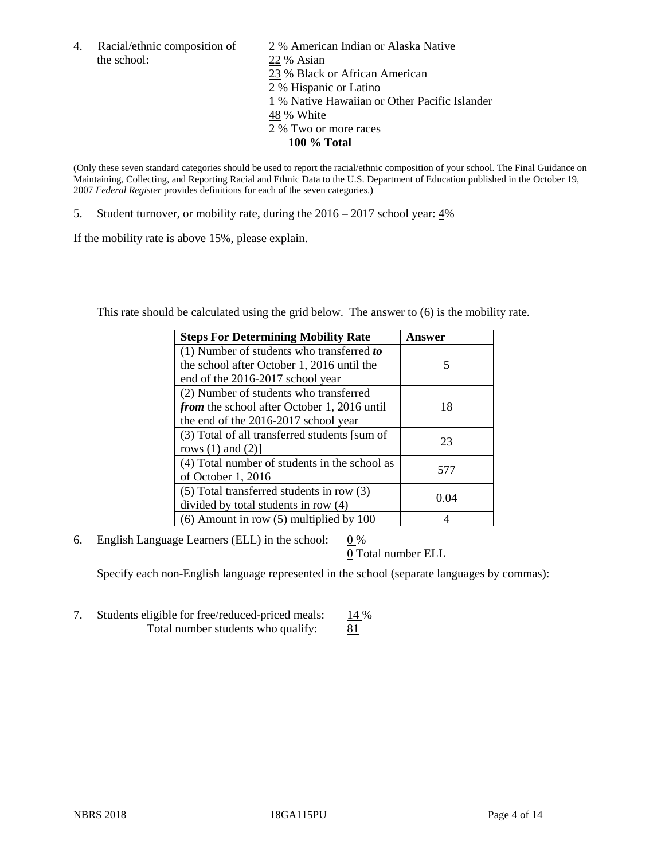the school: 22 % Asian

4. Racial/ethnic composition of  $\frac{2}{9}$ % American Indian or Alaska Native 23 % Black or African American 2 % Hispanic or Latino 1 % Native Hawaiian or Other Pacific Islander 48 % White 2 % Two or more races **100 % Total**

(Only these seven standard categories should be used to report the racial/ethnic composition of your school. The Final Guidance on Maintaining, Collecting, and Reporting Racial and Ethnic Data to the U.S. Department of Education published in the October 19, 2007 *Federal Register* provides definitions for each of the seven categories.)

5. Student turnover, or mobility rate, during the 2016 – 2017 school year: 4%

If the mobility rate is above 15%, please explain.

This rate should be calculated using the grid below. The answer to (6) is the mobility rate.

| <b>Steps For Determining Mobility Rate</b>         | Answer |
|----------------------------------------------------|--------|
| (1) Number of students who transferred to          |        |
| the school after October 1, 2016 until the         | 5      |
| end of the 2016-2017 school year                   |        |
| (2) Number of students who transferred             |        |
| <i>from</i> the school after October 1, 2016 until | 18     |
| the end of the 2016-2017 school year               |        |
| (3) Total of all transferred students [sum of      | 23     |
| rows $(1)$ and $(2)$ ]                             |        |
| (4) Total number of students in the school as      |        |
| of October 1, 2016                                 | 577    |
| (5) Total transferred students in row (3)          |        |
| divided by total students in row (4)               | 0.04   |
| $(6)$ Amount in row $(5)$ multiplied by 100        |        |

6. English Language Learners (ELL) in the school:  $0\%$ 

0 Total number ELL

Specify each non-English language represented in the school (separate languages by commas):

7. Students eligible for free/reduced-priced meals: 14 % Total number students who qualify:  $81$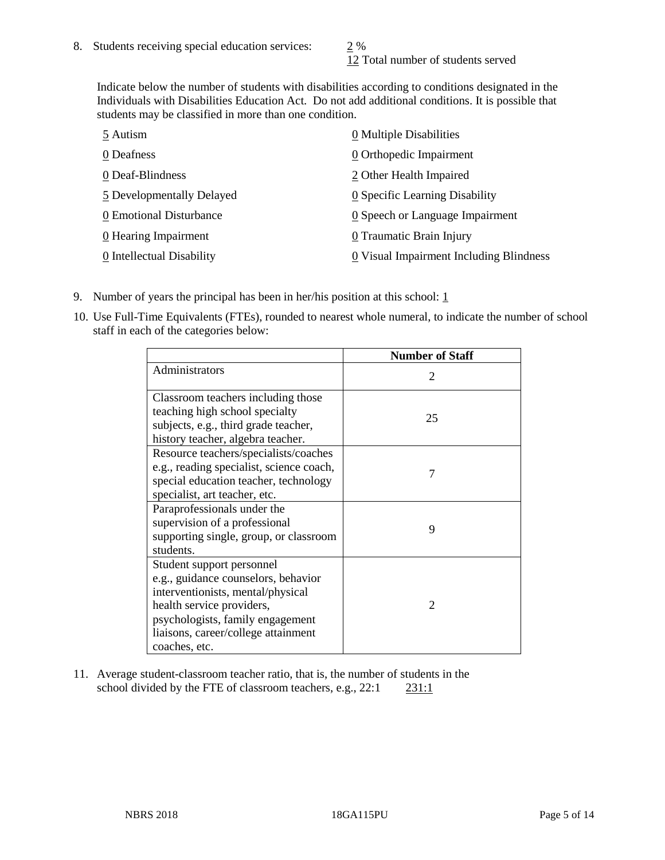12 Total number of students served

Indicate below the number of students with disabilities according to conditions designated in the Individuals with Disabilities Education Act. Do not add additional conditions. It is possible that students may be classified in more than one condition.

| 5 Autism                  | 0 Multiple Disabilities                 |
|---------------------------|-----------------------------------------|
| 0 Deafness                | 0 Orthopedic Impairment                 |
| 0 Deaf-Blindness          | 2 Other Health Impaired                 |
| 5 Developmentally Delayed | 0 Specific Learning Disability          |
| 0 Emotional Disturbance   | 0 Speech or Language Impairment         |
| 0 Hearing Impairment      | 0 Traumatic Brain Injury                |
| 0 Intellectual Disability | 0 Visual Impairment Including Blindness |

- 9. Number of years the principal has been in her/his position at this school:  $1$
- 10. Use Full-Time Equivalents (FTEs), rounded to nearest whole numeral, to indicate the number of school staff in each of the categories below:

|                                                                                                                                                                                                                                | <b>Number of Staff</b>      |
|--------------------------------------------------------------------------------------------------------------------------------------------------------------------------------------------------------------------------------|-----------------------------|
| Administrators                                                                                                                                                                                                                 | $\mathcal{D}_{\mathcal{L}}$ |
| Classroom teachers including those<br>teaching high school specialty<br>subjects, e.g., third grade teacher,<br>history teacher, algebra teacher.                                                                              | 25                          |
| Resource teachers/specialists/coaches<br>e.g., reading specialist, science coach,<br>special education teacher, technology<br>specialist, art teacher, etc.                                                                    | 7                           |
| Paraprofessionals under the<br>supervision of a professional<br>supporting single, group, or classroom<br>students.                                                                                                            | 9                           |
| Student support personnel<br>e.g., guidance counselors, behavior<br>interventionists, mental/physical<br>health service providers,<br>psychologists, family engagement<br>liaisons, career/college attainment<br>coaches, etc. | $\mathfrak{D}$              |

11. Average student-classroom teacher ratio, that is, the number of students in the school divided by the FTE of classroom teachers, e.g., 22:1 231:1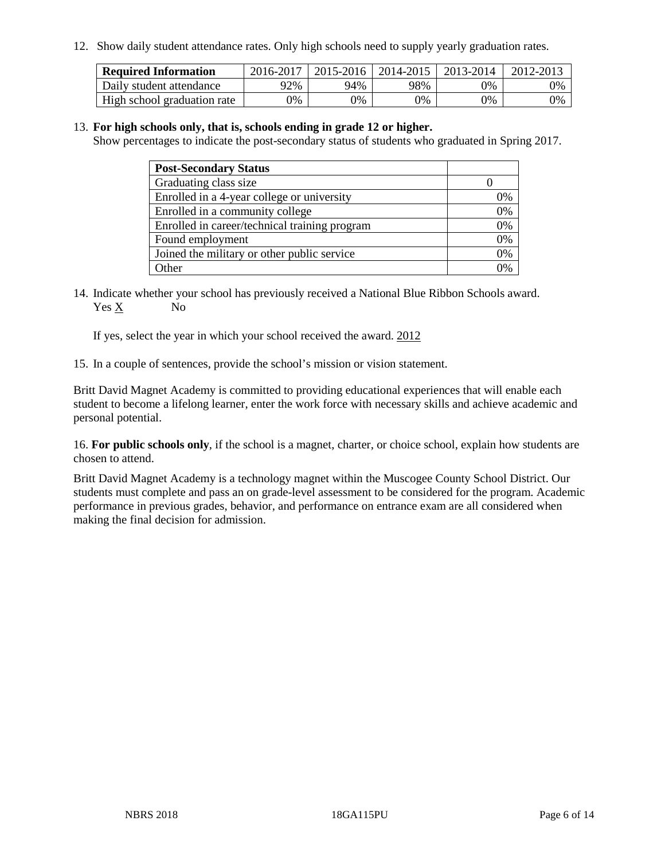12. Show daily student attendance rates. Only high schools need to supply yearly graduation rates.

| <b>Required Information</b> | 2016-2017 | 2015-2016 | 2014-2015 | 2013-2014 | 2012-2013 |
|-----------------------------|-----------|-----------|-----------|-----------|-----------|
| Daily student attendance    | 92%       | 94%       | 98%       | 9%        | 0%        |
| High school graduation rate | 0%        | 0%        | 0%        | 9%        | 0%        |

#### 13. **For high schools only, that is, schools ending in grade 12 or higher.**

Show percentages to indicate the post-secondary status of students who graduated in Spring 2017.

| <b>Post-Secondary Status</b>                  |              |
|-----------------------------------------------|--------------|
| Graduating class size                         |              |
| Enrolled in a 4-year college or university    | 0%           |
| Enrolled in a community college               | 0%           |
| Enrolled in career/technical training program | 0%           |
| Found employment                              | 0%           |
| Joined the military or other public service   | 0%           |
| Other                                         | $\gamma_{0}$ |

14. Indicate whether your school has previously received a National Blue Ribbon Schools award. Yes X No

If yes, select the year in which your school received the award. 2012

15. In a couple of sentences, provide the school's mission or vision statement.

Britt David Magnet Academy is committed to providing educational experiences that will enable each student to become a lifelong learner, enter the work force with necessary skills and achieve academic and personal potential.

16. **For public schools only**, if the school is a magnet, charter, or choice school, explain how students are chosen to attend.

Britt David Magnet Academy is a technology magnet within the Muscogee County School District. Our students must complete and pass an on grade-level assessment to be considered for the program. Academic performance in previous grades, behavior, and performance on entrance exam are all considered when making the final decision for admission.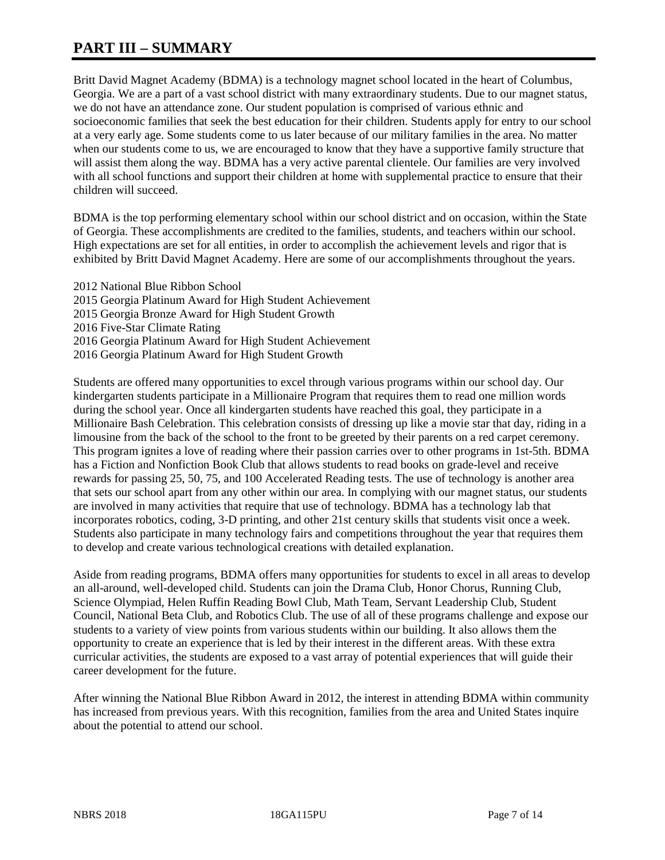# **PART III – SUMMARY**

Britt David Magnet Academy (BDMA) is a technology magnet school located in the heart of Columbus, Georgia. We are a part of a vast school district with many extraordinary students. Due to our magnet status, we do not have an attendance zone. Our student population is comprised of various ethnic and socioeconomic families that seek the best education for their children. Students apply for entry to our school at a very early age. Some students come to us later because of our military families in the area. No matter when our students come to us, we are encouraged to know that they have a supportive family structure that will assist them along the way. BDMA has a very active parental clientele. Our families are very involved with all school functions and support their children at home with supplemental practice to ensure that their children will succeed.

BDMA is the top performing elementary school within our school district and on occasion, within the State of Georgia. These accomplishments are credited to the families, students, and teachers within our school. High expectations are set for all entities, in order to accomplish the achievement levels and rigor that is exhibited by Britt David Magnet Academy. Here are some of our accomplishments throughout the years.

2012 National Blue Ribbon School 2015 Georgia Platinum Award for High Student Achievement 2015 Georgia Bronze Award for High Student Growth 2016 Five-Star Climate Rating 2016 Georgia Platinum Award for High Student Achievement 2016 Georgia Platinum Award for High Student Growth

Students are offered many opportunities to excel through various programs within our school day. Our kindergarten students participate in a Millionaire Program that requires them to read one million words during the school year. Once all kindergarten students have reached this goal, they participate in a Millionaire Bash Celebration. This celebration consists of dressing up like a movie star that day, riding in a limousine from the back of the school to the front to be greeted by their parents on a red carpet ceremony. This program ignites a love of reading where their passion carries over to other programs in 1st-5th. BDMA has a Fiction and Nonfiction Book Club that allows students to read books on grade-level and receive rewards for passing 25, 50, 75, and 100 Accelerated Reading tests. The use of technology is another area that sets our school apart from any other within our area. In complying with our magnet status, our students are involved in many activities that require that use of technology. BDMA has a technology lab that incorporates robotics, coding, 3-D printing, and other 21st century skills that students visit once a week. Students also participate in many technology fairs and competitions throughout the year that requires them to develop and create various technological creations with detailed explanation.

Aside from reading programs, BDMA offers many opportunities for students to excel in all areas to develop an all-around, well-developed child. Students can join the Drama Club, Honor Chorus, Running Club, Science Olympiad, Helen Ruffin Reading Bowl Club, Math Team, Servant Leadership Club, Student Council, National Beta Club, and Robotics Club. The use of all of these programs challenge and expose our students to a variety of view points from various students within our building. It also allows them the opportunity to create an experience that is led by their interest in the different areas. With these extra curricular activities, the students are exposed to a vast array of potential experiences that will guide their career development for the future.

After winning the National Blue Ribbon Award in 2012, the interest in attending BDMA within community has increased from previous years. With this recognition, families from the area and United States inquire about the potential to attend our school.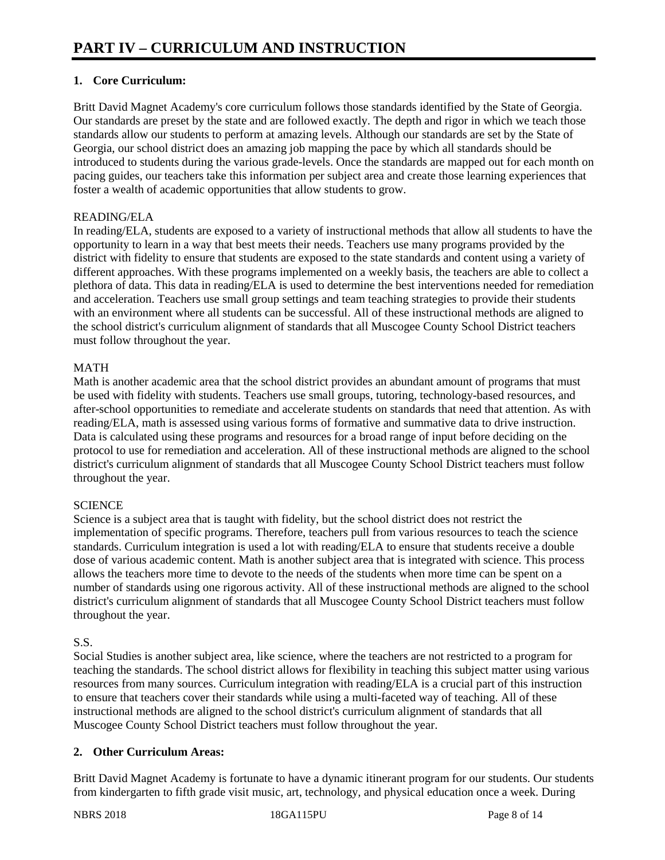## **1. Core Curriculum:**

Britt David Magnet Academy's core curriculum follows those standards identified by the State of Georgia. Our standards are preset by the state and are followed exactly. The depth and rigor in which we teach those standards allow our students to perform at amazing levels. Although our standards are set by the State of Georgia, our school district does an amazing job mapping the pace by which all standards should be introduced to students during the various grade-levels. Once the standards are mapped out for each month on pacing guides, our teachers take this information per subject area and create those learning experiences that foster a wealth of academic opportunities that allow students to grow.

#### READING/ELA

In reading/ELA, students are exposed to a variety of instructional methods that allow all students to have the opportunity to learn in a way that best meets their needs. Teachers use many programs provided by the district with fidelity to ensure that students are exposed to the state standards and content using a variety of different approaches. With these programs implemented on a weekly basis, the teachers are able to collect a plethora of data. This data in reading/ELA is used to determine the best interventions needed for remediation and acceleration. Teachers use small group settings and team teaching strategies to provide their students with an environment where all students can be successful. All of these instructional methods are aligned to the school district's curriculum alignment of standards that all Muscogee County School District teachers must follow throughout the year.

#### MATH

Math is another academic area that the school district provides an abundant amount of programs that must be used with fidelity with students. Teachers use small groups, tutoring, technology-based resources, and after-school opportunities to remediate and accelerate students on standards that need that attention. As with reading/ELA, math is assessed using various forms of formative and summative data to drive instruction. Data is calculated using these programs and resources for a broad range of input before deciding on the protocol to use for remediation and acceleration. All of these instructional methods are aligned to the school district's curriculum alignment of standards that all Muscogee County School District teachers must follow throughout the year.

## **SCIENCE**

Science is a subject area that is taught with fidelity, but the school district does not restrict the implementation of specific programs. Therefore, teachers pull from various resources to teach the science standards. Curriculum integration is used a lot with reading/ELA to ensure that students receive a double dose of various academic content. Math is another subject area that is integrated with science. This process allows the teachers more time to devote to the needs of the students when more time can be spent on a number of standards using one rigorous activity. All of these instructional methods are aligned to the school district's curriculum alignment of standards that all Muscogee County School District teachers must follow throughout the year.

## S.S.

Social Studies is another subject area, like science, where the teachers are not restricted to a program for teaching the standards. The school district allows for flexibility in teaching this subject matter using various resources from many sources. Curriculum integration with reading/ELA is a crucial part of this instruction to ensure that teachers cover their standards while using a multi-faceted way of teaching. All of these instructional methods are aligned to the school district's curriculum alignment of standards that all Muscogee County School District teachers must follow throughout the year.

## **2. Other Curriculum Areas:**

Britt David Magnet Academy is fortunate to have a dynamic itinerant program for our students. Our students from kindergarten to fifth grade visit music, art, technology, and physical education once a week. During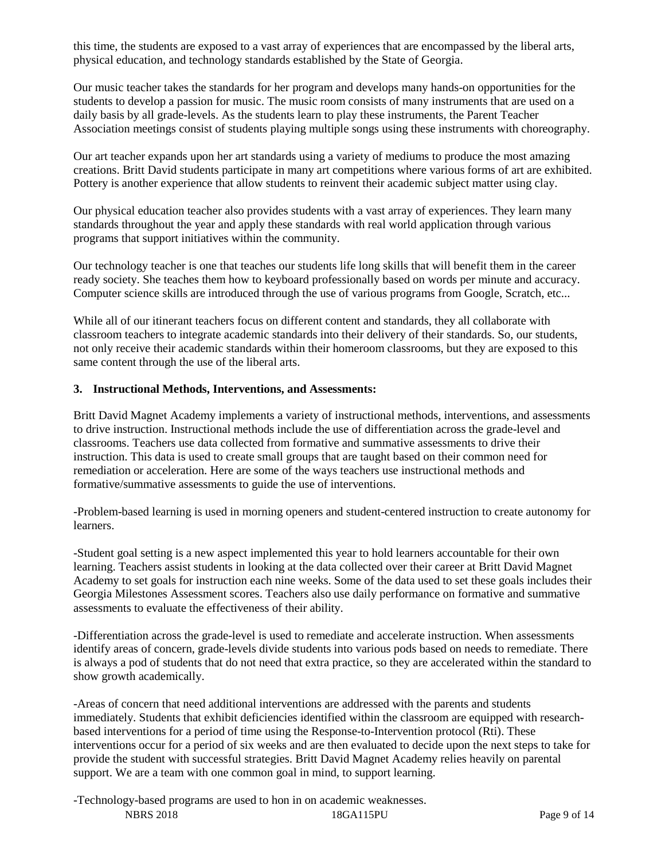this time, the students are exposed to a vast array of experiences that are encompassed by the liberal arts, physical education, and technology standards established by the State of Georgia.

Our music teacher takes the standards for her program and develops many hands-on opportunities for the students to develop a passion for music. The music room consists of many instruments that are used on a daily basis by all grade-levels. As the students learn to play these instruments, the Parent Teacher Association meetings consist of students playing multiple songs using these instruments with choreography.

Our art teacher expands upon her art standards using a variety of mediums to produce the most amazing creations. Britt David students participate in many art competitions where various forms of art are exhibited. Pottery is another experience that allow students to reinvent their academic subject matter using clay.

Our physical education teacher also provides students with a vast array of experiences. They learn many standards throughout the year and apply these standards with real world application through various programs that support initiatives within the community.

Our technology teacher is one that teaches our students life long skills that will benefit them in the career ready society. She teaches them how to keyboard professionally based on words per minute and accuracy. Computer science skills are introduced through the use of various programs from Google, Scratch, etc...

While all of our itinerant teachers focus on different content and standards, they all collaborate with classroom teachers to integrate academic standards into their delivery of their standards. So, our students, not only receive their academic standards within their homeroom classrooms, but they are exposed to this same content through the use of the liberal arts.

#### **3. Instructional Methods, Interventions, and Assessments:**

Britt David Magnet Academy implements a variety of instructional methods, interventions, and assessments to drive instruction. Instructional methods include the use of differentiation across the grade-level and classrooms. Teachers use data collected from formative and summative assessments to drive their instruction. This data is used to create small groups that are taught based on their common need for remediation or acceleration. Here are some of the ways teachers use instructional methods and formative/summative assessments to guide the use of interventions.

-Problem-based learning is used in morning openers and student-centered instruction to create autonomy for learners.

-Student goal setting is a new aspect implemented this year to hold learners accountable for their own learning. Teachers assist students in looking at the data collected over their career at Britt David Magnet Academy to set goals for instruction each nine weeks. Some of the data used to set these goals includes their Georgia Milestones Assessment scores. Teachers also use daily performance on formative and summative assessments to evaluate the effectiveness of their ability.

-Differentiation across the grade-level is used to remediate and accelerate instruction. When assessments identify areas of concern, grade-levels divide students into various pods based on needs to remediate. There is always a pod of students that do not need that extra practice, so they are accelerated within the standard to show growth academically.

-Areas of concern that need additional interventions are addressed with the parents and students immediately. Students that exhibit deficiencies identified within the classroom are equipped with researchbased interventions for a period of time using the Response-to-Intervention protocol (Rti). These interventions occur for a period of six weeks and are then evaluated to decide upon the next steps to take for provide the student with successful strategies. Britt David Magnet Academy relies heavily on parental support. We are a team with one common goal in mind, to support learning.

-Technology-based programs are used to hon in on academic weaknesses.

NBRS 2018 18GA115PU Page 9 of 14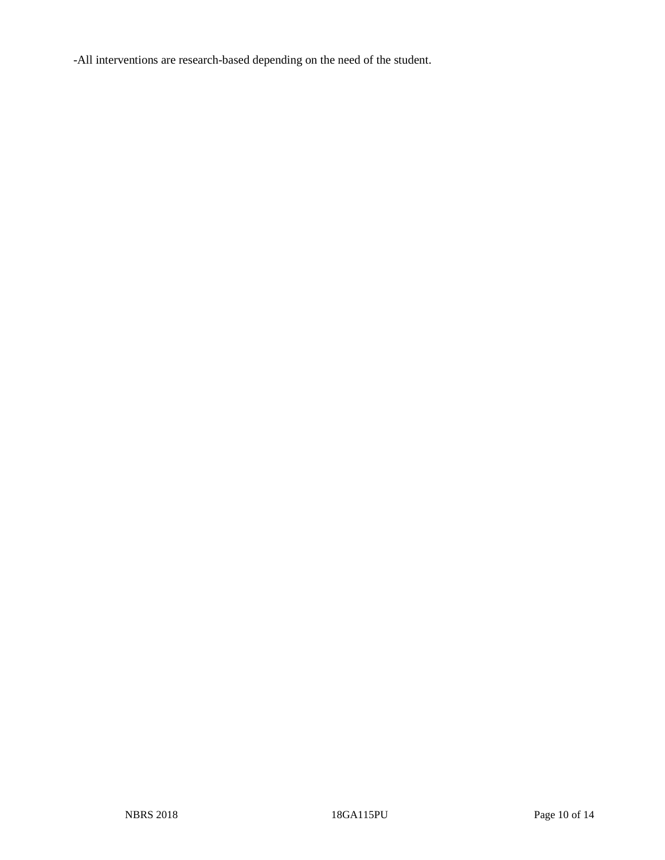-All interventions are research-based depending on the need of the student.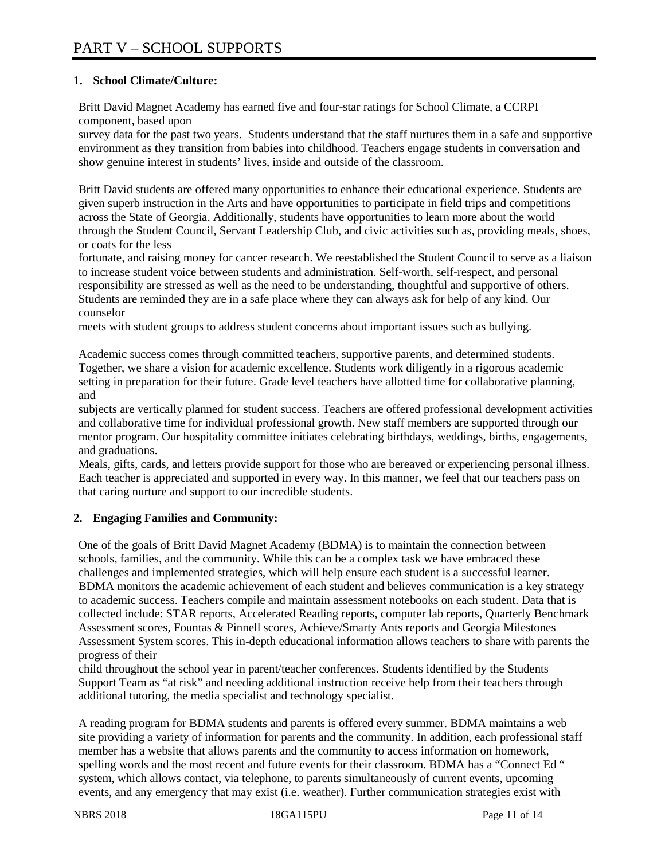## **1. School Climate/Culture:**

Britt David Magnet Academy has earned five and four-star ratings for School Climate, a CCRPI component, based upon

survey data for the past two years. Students understand that the staff nurtures them in a safe and supportive environment as they transition from babies into childhood. Teachers engage students in conversation and show genuine interest in students' lives, inside and outside of the classroom.

Britt David students are offered many opportunities to enhance their educational experience. Students are given superb instruction in the Arts and have opportunities to participate in field trips and competitions across the State of Georgia. Additionally, students have opportunities to learn more about the world through the Student Council, Servant Leadership Club, and civic activities such as, providing meals, shoes, or coats for the less

fortunate, and raising money for cancer research. We reestablished the Student Council to serve as a liaison to increase student voice between students and administration. Self-worth, self-respect, and personal responsibility are stressed as well as the need to be understanding, thoughtful and supportive of others. Students are reminded they are in a safe place where they can always ask for help of any kind. Our counselor

meets with student groups to address student concerns about important issues such as bullying.

Academic success comes through committed teachers, supportive parents, and determined students. Together, we share a vision for academic excellence. Students work diligently in a rigorous academic setting in preparation for their future. Grade level teachers have allotted time for collaborative planning, and

subjects are vertically planned for student success. Teachers are offered professional development activities and collaborative time for individual professional growth. New staff members are supported through our mentor program. Our hospitality committee initiates celebrating birthdays, weddings, births, engagements, and graduations.

Meals, gifts, cards, and letters provide support for those who are bereaved or experiencing personal illness. Each teacher is appreciated and supported in every way. In this manner, we feel that our teachers pass on that caring nurture and support to our incredible students.

## **2. Engaging Families and Community:**

One of the goals of Britt David Magnet Academy (BDMA) is to maintain the connection between schools, families, and the community. While this can be a complex task we have embraced these challenges and implemented strategies, which will help ensure each student is a successful learner. BDMA monitors the academic achievement of each student and believes communication is a key strategy to academic success. Teachers compile and maintain assessment notebooks on each student. Data that is collected include: STAR reports, Accelerated Reading reports, computer lab reports, Quarterly Benchmark Assessment scores, Fountas & Pinnell scores, Achieve/Smarty Ants reports and Georgia Milestones Assessment System scores. This in-depth educational information allows teachers to share with parents the progress of their

child throughout the school year in parent/teacher conferences. Students identified by the Students Support Team as "at risk" and needing additional instruction receive help from their teachers through additional tutoring, the media specialist and technology specialist.

A reading program for BDMA students and parents is offered every summer. BDMA maintains a web site providing a variety of information for parents and the community. In addition, each professional staff member has a website that allows parents and the community to access information on homework, spelling words and the most recent and future events for their classroom. BDMA has a "Connect Ed " system, which allows contact, via telephone, to parents simultaneously of current events, upcoming events, and any emergency that may exist (i.e. weather). Further communication strategies exist with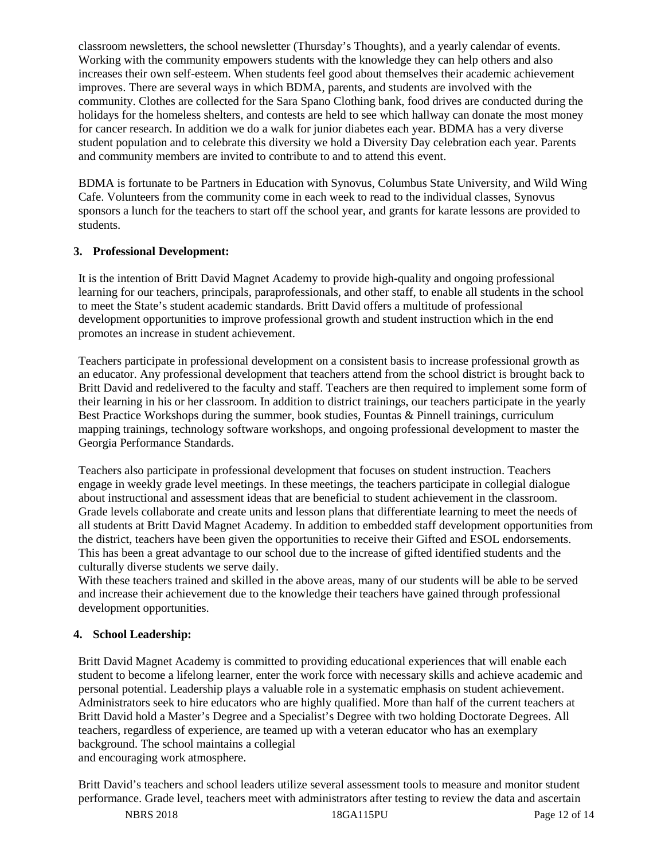classroom newsletters, the school newsletter (Thursday's Thoughts), and a yearly calendar of events. Working with the community empowers students with the knowledge they can help others and also increases their own self-esteem. When students feel good about themselves their academic achievement improves. There are several ways in which BDMA, parents, and students are involved with the community. Clothes are collected for the Sara Spano Clothing bank, food drives are conducted during the holidays for the homeless shelters, and contests are held to see which hallway can donate the most money for cancer research. In addition we do a walk for junior diabetes each year. BDMA has a very diverse student population and to celebrate this diversity we hold a Diversity Day celebration each year. Parents and community members are invited to contribute to and to attend this event.

BDMA is fortunate to be Partners in Education with Synovus, Columbus State University, and Wild Wing Cafe. Volunteers from the community come in each week to read to the individual classes, Synovus sponsors a lunch for the teachers to start off the school year, and grants for karate lessons are provided to students.

#### **3. Professional Development:**

It is the intention of Britt David Magnet Academy to provide high-quality and ongoing professional learning for our teachers, principals, paraprofessionals, and other staff, to enable all students in the school to meet the State's student academic standards. Britt David offers a multitude of professional development opportunities to improve professional growth and student instruction which in the end promotes an increase in student achievement.

Teachers participate in professional development on a consistent basis to increase professional growth as an educator. Any professional development that teachers attend from the school district is brought back to Britt David and redelivered to the faculty and staff. Teachers are then required to implement some form of their learning in his or her classroom. In addition to district trainings, our teachers participate in the yearly Best Practice Workshops during the summer, book studies, Fountas & Pinnell trainings, curriculum mapping trainings, technology software workshops, and ongoing professional development to master the Georgia Performance Standards.

Teachers also participate in professional development that focuses on student instruction. Teachers engage in weekly grade level meetings. In these meetings, the teachers participate in collegial dialogue about instructional and assessment ideas that are beneficial to student achievement in the classroom. Grade levels collaborate and create units and lesson plans that differentiate learning to meet the needs of all students at Britt David Magnet Academy. In addition to embedded staff development opportunities from the district, teachers have been given the opportunities to receive their Gifted and ESOL endorsements. This has been a great advantage to our school due to the increase of gifted identified students and the culturally diverse students we serve daily.

With these teachers trained and skilled in the above areas, many of our students will be able to be served and increase their achievement due to the knowledge their teachers have gained through professional development opportunities.

## **4. School Leadership:**

Britt David Magnet Academy is committed to providing educational experiences that will enable each student to become a lifelong learner, enter the work force with necessary skills and achieve academic and personal potential. Leadership plays a valuable role in a systematic emphasis on student achievement. Administrators seek to hire educators who are highly qualified. More than half of the current teachers at Britt David hold a Master's Degree and a Specialist's Degree with two holding Doctorate Degrees. All teachers, regardless of experience, are teamed up with a veteran educator who has an exemplary background. The school maintains a collegial and encouraging work atmosphere.

Britt David's teachers and school leaders utilize several assessment tools to measure and monitor student performance. Grade level, teachers meet with administrators after testing to review the data and ascertain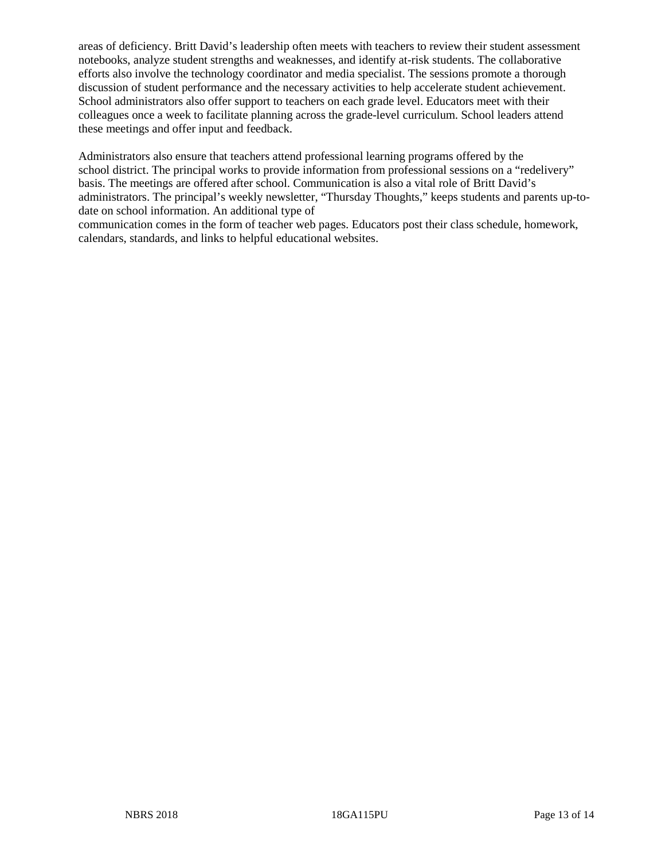areas of deficiency. Britt David's leadership often meets with teachers to review their student assessment notebooks, analyze student strengths and weaknesses, and identify at-risk students. The collaborative efforts also involve the technology coordinator and media specialist. The sessions promote a thorough discussion of student performance and the necessary activities to help accelerate student achievement. School administrators also offer support to teachers on each grade level. Educators meet with their colleagues once a week to facilitate planning across the grade-level curriculum. School leaders attend these meetings and offer input and feedback.

Administrators also ensure that teachers attend professional learning programs offered by the school district. The principal works to provide information from professional sessions on a "redelivery" basis. The meetings are offered after school. Communication is also a vital role of Britt David's administrators. The principal's weekly newsletter, "Thursday Thoughts," keeps students and parents up-todate on school information. An additional type of

communication comes in the form of teacher web pages. Educators post their class schedule, homework, calendars, standards, and links to helpful educational websites.